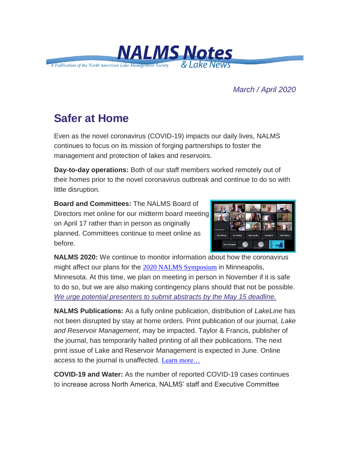

*March / April 2020*

## **Safer at Home**

Even as the novel coronavirus (COVID-19) impacts our daily lives, NALMS continues to focus on its mission of forging partnerships to foster the management and protection of lakes and reservoirs.

**Day-to-day operations:** Both of our staff members worked remotely out of their homes prior to the novel coronavirus outbreak and continue to do so with little disruption.

**Board and Committees:** The NALMS Board of Directors met online for our midterm board meeting on April 17 rather than in person as originally planned. Committees continue to meet online as before.



**NALMS 2020:** We continue to monitor information about how the coronavirus might affect our plans for the [2020 NALMS Symposium](https://urldefense.com/v3/__https:/nalms.us11.list-manage.com/track/click?u=dea191c828e06b171edfc6fe6&id=04e4578a1f&e=d5d3c21044__;!!HXCxUKc!jfc9aUYRyV-80A6UWMOiCJsjvw414nrlRDjEMuB_YnDvQfNXHOQwYPqYaepS741X$) in Minneapolis, Minnesota. At this time, we plan on meeting in person in November if it is safe to do so, but we are also making contingency plans should that not be possible. *[We urge potential presenters to submit abstracts by the May 15 deadline.](https://urldefense.com/v3/__https:/nalms.us11.list-manage.com/track/click?u=dea191c828e06b171edfc6fe6&id=6cc52b23b4&e=d5d3c21044__;!!HXCxUKc!jfc9aUYRyV-80A6UWMOiCJsjvw414nrlRDjEMuB_YnDvQfNXHOQwYPqYaX1312iZ$)*

**NALMS Publications:** As a fully online publication, distribution of *LakeLine* has not been disrupted by stay at home orders. Print publication of our journal, *Lake and Reservoir Management*, may be impacted. Taylor & Francis, publisher of the journal, has temporarily halted printing of all their publications. The next print issue of Lake and Reservoir Management is expected in June. Online access to the journal is unaffected. [Learn more…](https://urldefense.com/v3/__https:/nalms.us11.list-manage.com/track/click?u=dea191c828e06b171edfc6fe6&id=188852a8d6&e=d5d3c21044__;!!HXCxUKc!jfc9aUYRyV-80A6UWMOiCJsjvw414nrlRDjEMuB_YnDvQfNXHOQwYPqYaXji5CK-$)

**COVID-19 and Water:** As the number of reported COVID-19 cases continues to increase across North America, NALMS' staff and Executive Committee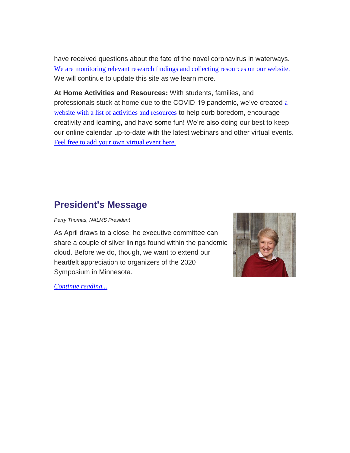have received questions about the fate of the novel coronavirus in waterways. [We are monitoring relevant research findings and collecting resources on our website.](https://urldefense.com/v3/__https:/nalms.us11.list-manage.com/track/click?u=dea191c828e06b171edfc6fe6&id=4e6a7ec386&e=d5d3c21044__;!!HXCxUKc!jfc9aUYRyV-80A6UWMOiCJsjvw414nrlRDjEMuB_YnDvQfNXHOQwYPqYacgUIzH1$) We will continue to update this site as we learn more.

**At Home Activities and Resources:** With students, families, and professionals stuck at home due to the COVID-19 pandemic, we've created  $a$ [website with a list of activities and resources](https://urldefense.com/v3/__https:/nalms.us11.list-manage.com/track/click?u=dea191c828e06b171edfc6fe6&id=df57163c49&e=d5d3c21044__;!!HXCxUKc!jfc9aUYRyV-80A6UWMOiCJsjvw414nrlRDjEMuB_YnDvQfNXHOQwYPqYafuAn-lX$) to help curb boredom, encourage creativity and learning, and have some fun! We're also doing our best to keep our online calendar up-to-date with the latest webinars and other virtual events. [Feel free to add your own virtual event here.](https://urldefense.com/v3/__https:/nalms.us11.list-manage.com/track/click?u=dea191c828e06b171edfc6fe6&id=00221add90&e=d5d3c21044__;!!HXCxUKc!jfc9aUYRyV-80A6UWMOiCJsjvw414nrlRDjEMuB_YnDvQfNXHOQwYPqYaVMWYMf0$)

### **President's Message**

*Perry Thomas, NALMS President*

As April draws to a close, he executive committee can share a couple of silver linings found within the pandemic cloud. Before we do, though, we want to extend our heartfelt appreciation to organizers of the 2020 Symposium in Minnesota.



*[Continue reading...](https://urldefense.com/v3/__https:/nalms.us11.list-manage.com/track/click?u=dea191c828e06b171edfc6fe6&id=077cb13c52&e=d5d3c21044__;!!HXCxUKc!jfc9aUYRyV-80A6UWMOiCJsjvw414nrlRDjEMuB_YnDvQfNXHOQwYPqYaePbOjDf$)*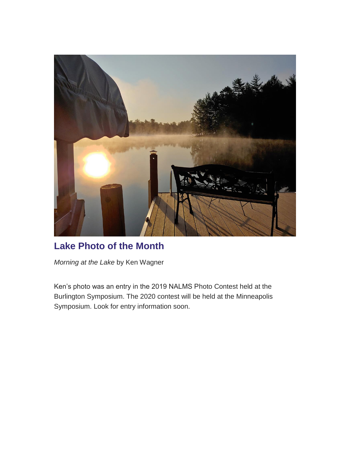

#### **Lake Photo of the Month**

*Morning at the Lake* by Ken Wagner

Ken's photo was an entry in the 2019 NALMS Photo Contest held at the Burlington Symposium. The 2020 contest will be held at the Minneapolis Symposium. Look for entry information soon.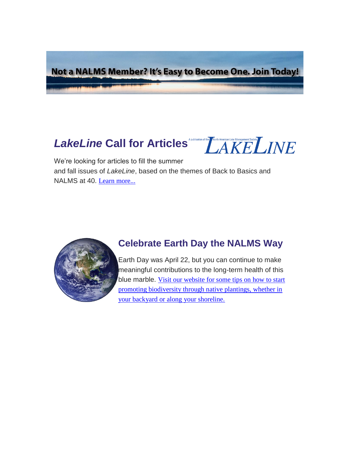Not a NALMS Member? It's Easy to Become One. Join Today!

# *LakeLine* Call for Articles<sup>Apublication of the Mertin ARE LINE</sup>



We're looking for articles to fill the summer and fall issues of *LakeLine*, based on the themes of Back to Basics and NALMS at 40. [Learn more...](https://urldefense.com/v3/__https:/nalms.us11.list-manage.com/track/click?u=dea191c828e06b171edfc6fe6&id=ebffff0715&e=d5d3c21044__;!!HXCxUKc!jfc9aUYRyV-80A6UWMOiCJsjvw414nrlRDjEMuB_YnDvQfNXHOQwYPqYaWBbpLaS$)



#### **Celebrate Earth Day the NALMS Way**

Earth Day was April 22, but you can continue to make meaningful contributions to the long-term health of this blue marble. Visit our website for some tips on how to start [promoting biodiversity through native plantings, whether in](https://urldefense.com/v3/__https:/nalms.us11.list-manage.com/track/click?u=dea191c828e06b171edfc6fe6&id=d2a8ebfbc6&e=d5d3c21044__;!!HXCxUKc!jfc9aUYRyV-80A6UWMOiCJsjvw414nrlRDjEMuB_YnDvQfNXHOQwYPqYafDD3wAt$)  [your backyard or along your shoreline.](https://urldefense.com/v3/__https:/nalms.us11.list-manage.com/track/click?u=dea191c828e06b171edfc6fe6&id=d2a8ebfbc6&e=d5d3c21044__;!!HXCxUKc!jfc9aUYRyV-80A6UWMOiCJsjvw414nrlRDjEMuB_YnDvQfNXHOQwYPqYafDD3wAt$)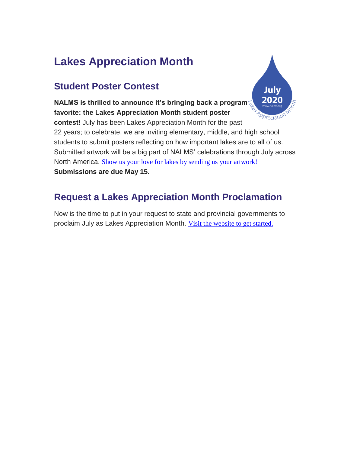## **Lakes Appreciation Month**

## **Student Poster Contest**

202 **NALMS is thrilled to announce it's bringing back a program favorite: the Lakes Appreciation Month student poster**  Appreciation **contest!** July has been Lakes Appreciation Month for the past 22 years; to celebrate, we are inviting elementary, middle, and high school students to submit posters reflecting on how important lakes are to all of us. Submitted artwork will be a big part of NALMS' celebrations through July across North America. [Show us your love for lakes by sending us your artwork!](https://urldefense.com/v3/__https:/nalms.us11.list-manage.com/track/click?u=dea191c828e06b171edfc6fe6&id=db6e6b181a&e=d5d3c21044__;!!HXCxUKc!jfc9aUYRyV-80A6UWMOiCJsjvw414nrlRDjEMuB_YnDvQfNXHOQwYPqYaZqvRdPN$) **Submissions are due May 15.**

Julv

## **Request a Lakes Appreciation Month Proclamation**

Now is the time to put in your request to state and provincial governments to proclaim July as Lakes Appreciation Month. [Visit the website to get started.](https://urldefense.com/v3/__https:/nalms.us11.list-manage.com/track/click?u=dea191c828e06b171edfc6fe6&id=efdd1c3ceb&e=d5d3c21044__;!!HXCxUKc!jfc9aUYRyV-80A6UWMOiCJsjvw414nrlRDjEMuB_YnDvQfNXHOQwYPqYaUB8w-RE$)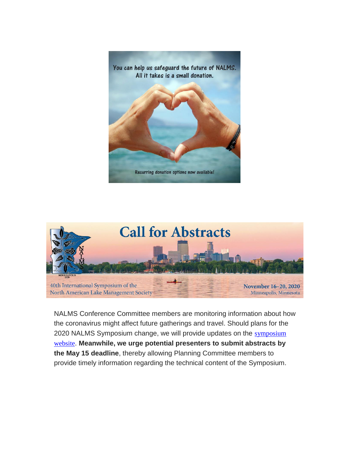



NALMS Conference Committee members are monitoring information about how the coronavirus might affect future gatherings and travel. Should plans for the 2020 NALMS Symposium change, we will provide updates on the [symposium](https://urldefense.com/v3/__https:/nalms.us11.list-manage.com/track/click?u=dea191c828e06b171edfc6fe6&id=6ca98bc3a7&e=d5d3c21044__;!!HXCxUKc!jfc9aUYRyV-80A6UWMOiCJsjvw414nrlRDjEMuB_YnDvQfNXHOQwYPqYaRbUb8wY$)  [website](https://urldefense.com/v3/__https:/nalms.us11.list-manage.com/track/click?u=dea191c828e06b171edfc6fe6&id=6ca98bc3a7&e=d5d3c21044__;!!HXCxUKc!jfc9aUYRyV-80A6UWMOiCJsjvw414nrlRDjEMuB_YnDvQfNXHOQwYPqYaRbUb8wY$). **Meanwhile, we urge potential presenters to submit abstracts by the May 15 deadline**, thereby allowing Planning Committee members to provide timely information regarding the technical content of the Symposium.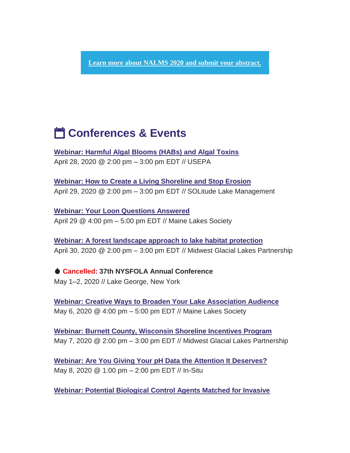**[Learn more about NALMS 2020 and submit your abstract.](https://urldefense.com/v3/__https:/nalms.us11.list-manage.com/track/click?u=dea191c828e06b171edfc6fe6&id=35f964b7e9&e=d5d3c21044__;!!HXCxUKc!jfc9aUYRyV-80A6UWMOiCJsjvw414nrlRDjEMuB_YnDvQfNXHOQwYPqYaXnwCmGP$)**

## **i<sup>4</sup> Conferences & Events**

**[Webinar: Harmful Algal Blooms \(HABs\) and Algal Toxins](https://urldefense.com/v3/__https:/nalms.us11.list-manage.com/track/click?u=dea191c828e06b171edfc6fe6&id=b63b87a3e1&e=d5d3c21044__;!!HXCxUKc!jfc9aUYRyV-80A6UWMOiCJsjvw414nrlRDjEMuB_YnDvQfNXHOQwYPqYaQsccFgx$)** April 28, 2020 @ 2:00 pm – 3:00 pm EDT // USEPA

**[Webinar: How to Create a Living Shoreline and Stop Erosion](https://urldefense.com/v3/__https:/nalms.us11.list-manage.com/track/click?u=dea191c828e06b171edfc6fe6&id=79ceb08b2a&e=d5d3c21044__;!!HXCxUKc!jfc9aUYRyV-80A6UWMOiCJsjvw414nrlRDjEMuB_YnDvQfNXHOQwYPqYaVZDlKSq$)** April 29, 2020 @ 2:00 pm – 3:00 pm EDT // SOLitude Lake Management

**[Webinar: Your Loon Questions Answered](https://urldefense.com/v3/__https:/nalms.us11.list-manage.com/track/click?u=dea191c828e06b171edfc6fe6&id=4559d75596&e=d5d3c21044__;!!HXCxUKc!jfc9aUYRyV-80A6UWMOiCJsjvw414nrlRDjEMuB_YnDvQfNXHOQwYPqYaeHj-W2o$)** April 29 @ 4:00 pm – 5:00 pm EDT // Maine Lakes Society

**[Webinar: A forest landscape approach to lake habitat protection](https://urldefense.com/v3/__https:/nalms.us11.list-manage.com/track/click?u=dea191c828e06b171edfc6fe6&id=fc069d2856&e=d5d3c21044__;!!HXCxUKc!jfc9aUYRyV-80A6UWMOiCJsjvw414nrlRDjEMuB_YnDvQfNXHOQwYPqYacjK7MV3$)** April 30, 2020 @ 2:00 pm – 3:00 pm EDT // Midwest Glacial Lakes Partnership

 **Cancelled: 37th NYSFOLA Annual Conference** May 1–2, 2020 // Lake George, New York

**[Webinar: Creative Ways to Broaden Your Lake Association Audience](https://urldefense.com/v3/__https:/nalms.us11.list-manage.com/track/click?u=dea191c828e06b171edfc6fe6&id=713fde181a&e=d5d3c21044__;!!HXCxUKc!jfc9aUYRyV-80A6UWMOiCJsjvw414nrlRDjEMuB_YnDvQfNXHOQwYPqYaUYjJqdf$)** May 6, 2020 @ 4:00 pm – 5:00 pm EDT // Maine Lakes Society

**[Webinar: Burnett County, Wisconsin Shoreline Incentives Program](https://urldefense.com/v3/__https:/nalms.us11.list-manage.com/track/click?u=dea191c828e06b171edfc6fe6&id=27737db8db&e=d5d3c21044__;!!HXCxUKc!jfc9aUYRyV-80A6UWMOiCJsjvw414nrlRDjEMuB_YnDvQfNXHOQwYPqYaWeUcd3G$)** May 7, 2020 @ 2:00 pm – 3:00 pm EDT // Midwest Glacial Lakes Partnership

**[Webinar: Are You Giving Your pH Data the Attention It Deserves?](https://urldefense.com/v3/__https:/nalms.us11.list-manage.com/track/click?u=dea191c828e06b171edfc6fe6&id=2401bef684&e=d5d3c21044__;!!HXCxUKc!jfc9aUYRyV-80A6UWMOiCJsjvw414nrlRDjEMuB_YnDvQfNXHOQwYPqYaU5_w8kB$)** May 8, 2020 @ 1:00 pm – 2:00 pm EDT // In-Situ

**[Webinar: Potential Biological Control Agents Matched for Invasive](https://urldefense.com/v3/__https:/nalms.us11.list-manage.com/track/click?u=dea191c828e06b171edfc6fe6&id=aa8dc09da1&e=d5d3c21044__;!!HXCxUKc!jfc9aUYRyV-80A6UWMOiCJsjvw414nrlRDjEMuB_YnDvQfNXHOQwYPqYaXnZfWsl$)**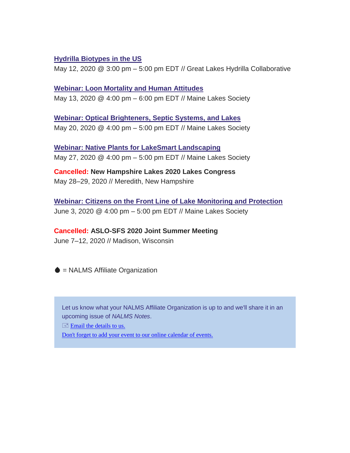#### **[Hydrilla Biotypes in the US](https://urldefense.com/v3/__https:/nalms.us11.list-manage.com/track/click?u=dea191c828e06b171edfc6fe6&id=aa8dc09da1&e=d5d3c21044__;!!HXCxUKc!jfc9aUYRyV-80A6UWMOiCJsjvw414nrlRDjEMuB_YnDvQfNXHOQwYPqYaXnZfWsl$)**

May 12, 2020 @ 3:00 pm – 5:00 pm EDT // Great Lakes Hydrilla Collaborative

**[Webinar: Loon Mortality and Human Attitudes](https://urldefense.com/v3/__https:/nalms.us11.list-manage.com/track/click?u=dea191c828e06b171edfc6fe6&id=5259c6853a&e=d5d3c21044__;!!HXCxUKc!jfc9aUYRyV-80A6UWMOiCJsjvw414nrlRDjEMuB_YnDvQfNXHOQwYPqYaWFVG3dJ$)** May 13, 2020 @ 4:00 pm – 6:00 pm EDT // Maine Lakes Society

**[Webinar: Optical Brighteners, Septic Systems, and Lakes](https://urldefense.com/v3/__https:/nalms.us11.list-manage.com/track/click?u=dea191c828e06b171edfc6fe6&id=d527a39527&e=d5d3c21044__;!!HXCxUKc!jfc9aUYRyV-80A6UWMOiCJsjvw414nrlRDjEMuB_YnDvQfNXHOQwYPqYaWgdGcM1$)** May 20, 2020 @ 4:00 pm – 5:00 pm EDT // Maine Lakes Society

**[Webinar: Native Plants for LakeSmart Landscaping](https://urldefense.com/v3/__https:/nalms.us11.list-manage.com/track/click?u=dea191c828e06b171edfc6fe6&id=5ca85fbc57&e=d5d3c21044__;!!HXCxUKc!jfc9aUYRyV-80A6UWMOiCJsjvw414nrlRDjEMuB_YnDvQfNXHOQwYPqYaUkrFlzr$)** May 27, 2020 @ 4:00 pm – 5:00 pm EDT // Maine Lakes Society

**Cancelled: New Hampshire Lakes 2020 Lakes Congress** May 28–29, 2020 // Meredith, New Hampshire

**[Webinar: Citizens on the Front Line of Lake Monitoring and Protection](https://urldefense.com/v3/__https:/nalms.us11.list-manage.com/track/click?u=dea191c828e06b171edfc6fe6&id=e507747174&e=d5d3c21044__;!!HXCxUKc!jfc9aUYRyV-80A6UWMOiCJsjvw414nrlRDjEMuB_YnDvQfNXHOQwYPqYaULexIC6$)** June 3, 2020 @ 4:00 pm – 5:00 pm EDT // Maine Lakes Society

#### **Cancelled: ASLO-SFS 2020 Joint Summer Meeting**

June 7–12, 2020 // Madison, Wisconsin

 $\bullet$  = NALMS Affiliate Organization

Let us know what your NALMS Affiliate Organization is up to and we'll share it in an upcoming issue of *NALMS Notes*.

 $\equiv$  [Email the details to us.](mailto:NALMSNotes@nalms.org)

[Don't forget to add your event to our online calendar of events.](https://urldefense.com/v3/__https:/nalms.us11.list-manage.com/track/click?u=dea191c828e06b171edfc6fe6&id=a1ac43a4b3&e=d5d3c21044__;!!HXCxUKc!jfc9aUYRyV-80A6UWMOiCJsjvw414nrlRDjEMuB_YnDvQfNXHOQwYPqYaYR2uw5q$)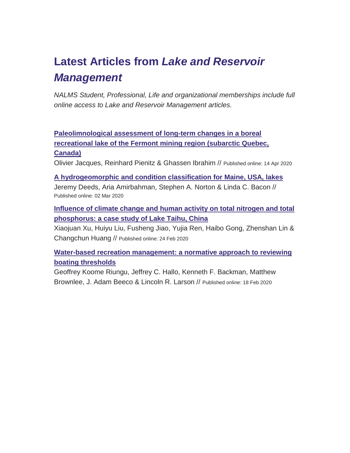## **Latest Articles from** *Lake and Reservoir Management*

*NALMS Student, Professional, Life and organizational memberships include full online access to Lake and Reservoir Management articles.*

**[Paleolimnological assessment of long-term changes in a boreal](https://urldefense.com/v3/__https:/nalms.us11.list-manage.com/track/click?u=dea191c828e06b171edfc6fe6&id=c415e6ffa9&e=d5d3c21044__;!!HXCxUKc!jfc9aUYRyV-80A6UWMOiCJsjvw414nrlRDjEMuB_YnDvQfNXHOQwYPqYaVz4899j$)  [recreational lake of the Fermont mining region \(subarctic Quebec,](https://urldefense.com/v3/__https:/nalms.us11.list-manage.com/track/click?u=dea191c828e06b171edfc6fe6&id=c415e6ffa9&e=d5d3c21044__;!!HXCxUKc!jfc9aUYRyV-80A6UWMOiCJsjvw414nrlRDjEMuB_YnDvQfNXHOQwYPqYaVz4899j$)  [Canada\)](https://urldefense.com/v3/__https:/nalms.us11.list-manage.com/track/click?u=dea191c828e06b171edfc6fe6&id=c415e6ffa9&e=d5d3c21044__;!!HXCxUKc!jfc9aUYRyV-80A6UWMOiCJsjvw414nrlRDjEMuB_YnDvQfNXHOQwYPqYaVz4899j$)**

Olivier Jacques, Reinhard Pienitz & Ghassen Ibrahim // Published online: 14 Apr 2020

**[A hydrogeomorphic and condition classification for Maine, USA, lakes](https://urldefense.com/v3/__https:/nalms.us11.list-manage.com/track/click?u=dea191c828e06b171edfc6fe6&id=2e0696cafe&e=d5d3c21044__;!!HXCxUKc!jfc9aUYRyV-80A6UWMOiCJsjvw414nrlRDjEMuB_YnDvQfNXHOQwYPqYaZGhN32H$)** Jeremy Deeds, Aria Amirbahman, Stephen A. Norton & Linda C. Bacon // Published online: 02 Mar 2020

**[Influence of climate change and human activity on total nitrogen and total](https://urldefense.com/v3/__https:/nalms.us11.list-manage.com/track/click?u=dea191c828e06b171edfc6fe6&id=b87d42366d&e=d5d3c21044__;!!HXCxUKc!jfc9aUYRyV-80A6UWMOiCJsjvw414nrlRDjEMuB_YnDvQfNXHOQwYPqYaXhQBKyq$)  [phosphorus: a case study of Lake Taihu, China](https://urldefense.com/v3/__https:/nalms.us11.list-manage.com/track/click?u=dea191c828e06b171edfc6fe6&id=b87d42366d&e=d5d3c21044__;!!HXCxUKc!jfc9aUYRyV-80A6UWMOiCJsjvw414nrlRDjEMuB_YnDvQfNXHOQwYPqYaXhQBKyq$)**

Xiaojuan Xu, Huiyu Liu, Fusheng Jiao, Yujia Ren, Haibo Gong, Zhenshan Lin & Changchun Huang // Published online: 24 Feb 2020

**[Water-based recreation management: a normative approach to reviewing](https://urldefense.com/v3/__https:/nalms.us11.list-manage.com/track/click?u=dea191c828e06b171edfc6fe6&id=bcea542686&e=d5d3c21044__;!!HXCxUKc!jfc9aUYRyV-80A6UWMOiCJsjvw414nrlRDjEMuB_YnDvQfNXHOQwYPqYaZH0cT1f$)  [boating thresholds](https://urldefense.com/v3/__https:/nalms.us11.list-manage.com/track/click?u=dea191c828e06b171edfc6fe6&id=bcea542686&e=d5d3c21044__;!!HXCxUKc!jfc9aUYRyV-80A6UWMOiCJsjvw414nrlRDjEMuB_YnDvQfNXHOQwYPqYaZH0cT1f$)**

Geoffrey Koome Riungu, Jeffrey C. Hallo, Kenneth F. Backman, Matthew Brownlee, J. Adam Beeco & Lincoln R. Larson // Published online: 18 Feb 2020